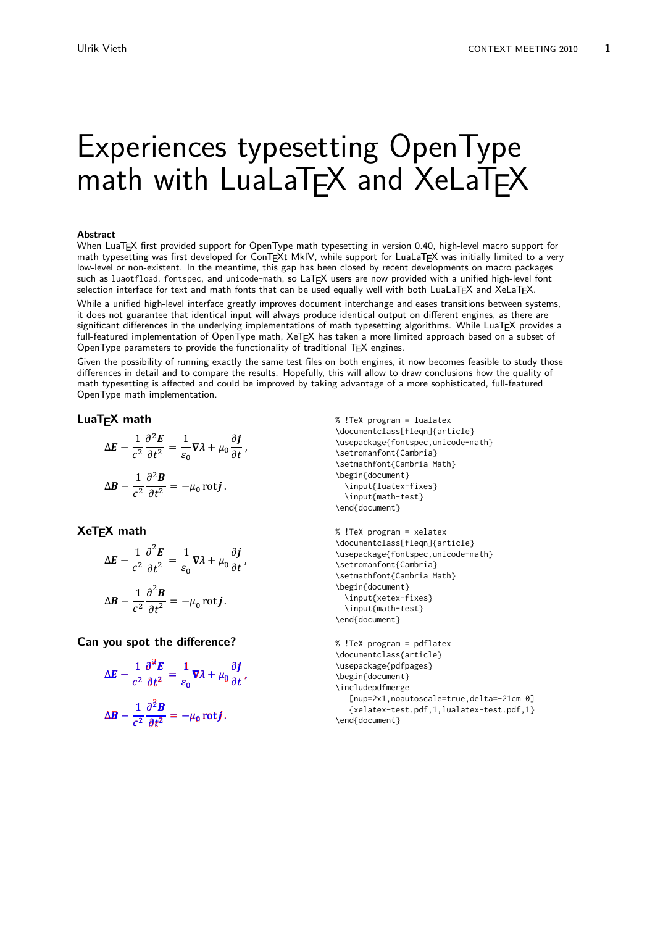# Experiences typesetting OpenType math with LuaLaTFX and XeLaTFX

#### **Abstract**

When LuaTEX first provided support for OpenType math typesetting in version 0.40, high-level macro support for math typesetting was first developed for ConTEXt MkIV, while support for LuaLaTEX was initially limited to a very low-level or non-existent. In the meantime, this gap has been closed by recent developments on macro packages such as luaotfload, fontspec, and unicode-math, so LaTEX users are now provided with a unified high-level font selection interface for text and math fonts that can be used equally well with both LuaLaTEX and XeLaTEX.

While a unified high-level interface greatly improves document interchange and eases transitions between systems, it does not guarantee that identical input will always produce identical output on different engines, as there are significant differences in the underlying implementations of math typesetting algorithms. While LuaTEX provides a full-featured implementation of OpenType math, XeTEX has taken a more limited approach based on a subset of OpenType parameters to provide the functionality of traditional TEX engines.

Given the possibility of running exactly the same test files on both engines, it now becomes feasible to study those differences in detail and to compare the results. Hopefully, this will allow to draw conclusions how the quality of math typesetting is affected and could be improved by taking advantage of a more sophisticated, full-featured OpenType math implementation.

#### **LuaTEX math**

$$
\Delta E - \frac{1}{c^2} \frac{\partial^2 E}{\partial t^2} = \frac{1}{\varepsilon_0} \nabla \lambda + \mu_0 \frac{\partial \boldsymbol{j}}{\partial t},
$$

$$
\Delta \boldsymbol{B} - \frac{1}{c^2} \frac{\partial^2 \boldsymbol{B}}{\partial t^2} = -\mu_0 \operatorname{rot} \boldsymbol{j}.
$$

## **XeTEX math**

$$
\Delta E - \frac{1}{c^2} \frac{\partial^2 E}{\partial t^2} = \frac{1}{\varepsilon_0} \nabla \lambda + \mu_0 \frac{\partial \boldsymbol{j}}{\partial t},
$$
  

$$
\Delta \boldsymbol{B} - \frac{1}{c^2} \frac{\partial^2 \boldsymbol{B}}{\partial t^2} = -\mu_0 \operatorname{rot} \boldsymbol{j}.
$$

**Can you spot the difference?**

$$
\Delta E - \frac{1}{c^2} \frac{\partial^2 E}{\partial t^2} = \frac{1}{\varepsilon_0} \nabla \lambda + \mu_0 \frac{\partial j}{\partial t},
$$
  

$$
\Delta B - \frac{1}{c^2} \frac{\partial^2 B}{\partial t^2} = -\mu_0 \operatorname{rot} j.
$$

% !TeX program = lualatex \documentclass[fleqn]{article} \usepackage{fontspec,unicode-math} \setromanfont{Cambria} \setmathfont{Cambria Math} \begin{document} \input{luatex-fixes} \input{math-test} \end{document}

```
% !TeX program = xelatex
\documentclass[fleqn]{article}
\usepackage{fontspec,unicode-math}
\setromanfont{Cambria}
\setmathfont{Cambria Math}
\begin{document}
  \input{xetex-fixes}
  \input{math-test}
\end{document}
```

```
% !TeX program = pdflatex
\documentclass{article}
\usepackage{pdfpages}
\begin{document}
\includepdfmerge
   [nup=2x1,noautoscale=true,delta=-21cm 0]
   {xelatex-test.pdf,1,lualatex-test.pdf,1}
\end{document}
```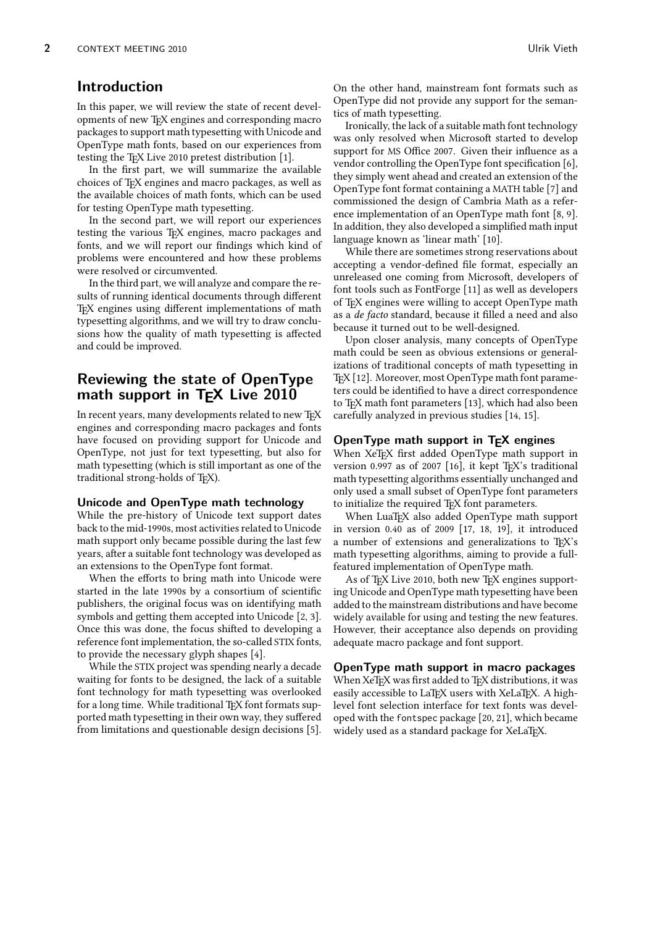## **Introduction**

In this paper, we will review the state of recent developments of new T<sub>F</sub>X engines and corresponding macro packages to support math typesetting with Unicode and OpenType math fonts, based on our experiences from testing the T<sub>E</sub>X Live 2010 pretest distribution [1].

In the first part, we will summarize the available choices of TEX engines and macro packages, as well as the available choices of math fonts, which can be used for testing OpenType math typesetting.

In the second part, we will report our experiences testing the various TEX engines, macro packages and fonts, and we will report our findings which kind of problems were encountered and how these problems were resolved or circumvented.

In the third part, we will analyze and compare the results of running identical documents through different TEX engines using different implementations of math typesetting algorithms, and we will try to draw conclusions how the quality of math typesetting is affected and could be improved.

# **Reviewing the state of OpenType** math support in T<sub>F</sub>X Live 2010

In recent years, many developments related to new TEX engines and corresponding macro packages and fonts have focused on providing support for Unicode and OpenType, not just for text typesetting, but also for math typesetting (which is still important as one of the traditional strong-holds of TFX).

#### **Unicode and OpenType math technology**

While the pre-history of Unicode text support dates back to the mid-1990s, most activities related to Unicode math support only became possible during the last few years, after a suitable font technology was developed as an extensions to the OpenType font format.

When the efforts to bring math into Unicode were started in the late 1990s by a consortium of scientific publishers, the original focus was on identifying math symbols and getting them accepted into Unicode [2, 3]. Once this was done, the focus shifted to developing a reference font implementation, the so-called STIX fonts, to provide the necessary glyph shapes [4].

While the STIX project was spending nearly a decade waiting for fonts to be designed, the lack of a suitable font technology for math typesetting was overlooked for a long time. While traditional TFX font formats supported math typesetting in their own way, they suffered from limitations and questionable design decisions [5].

On the other hand, mainstream font formats such as OpenType did not provide any support for the semantics of math typesetting.

Ironically, the lack of a suitable math font technology was only resolved when Microsoft started to develop support for MS Office 2007. Given their influence as a vendor controlling the OpenType font specification [6], they simply went ahead and created an extension of the OpenType font format containing a MATH table [7] and commissioned the design of Cambria Math as a reference implementation of an OpenType math font [8, 9]. In addition, they also developed a simplified math input language known as 'linear math' [10].

While there are sometimes strong reservations about accepting a vendor-defined file format, especially an unreleased one coming from Microsoft, developers of font tools such as FontForge [11] as well as developers of TEX engines were willing to accept OpenType math as a de facto standard, because it filled a need and also because it turned out to be well-designed.

Upon closer analysis, many concepts of OpenType math could be seen as obvious extensions or generalizations of traditional concepts of math typesetting in T<sub>E</sub>X [12]. Moreover, most OpenType math font parameters could be identified to have a direct correspondence to T<sub>F</sub>X math font parameters [13], which had also been carefully analyzed in previous studies [14, 15].

#### **OpenType math support in TEX engines**

When XeT<sub>E</sub>X first added OpenType math support in version 0.997 as of 2007 [16], it kept  $T_FX$ 's traditional math typesetting algorithms essentially unchanged and only used a small subset of OpenType font parameters to initialize the required TEX font parameters.

When LuaT<sub>E</sub>X also added OpenType math support in version 0.40 as of 2009 [17, 18, 19], it introduced a number of extensions and generalizations to T<sub>F</sub>X's math typesetting algorithms, aiming to provide a fullfeatured implementation of OpenType math.

As of TEX Live 2010, both new TEX engines supporting Unicode and OpenType math typesetting have been added to the mainstream distributions and have become widely available for using and testing the new features. However, their acceptance also depends on providing adequate macro package and font support.

**OpenType math support in macro packages** When XeTEX was first added to TEX distributions, it was easily accessible to LaT<sub>E</sub>X users with XeLaT<sub>E</sub>X. A highlevel font selection interface for text fonts was developed with the fontspec package [20, 21], which became widely used as a standard package for XeLaTFX.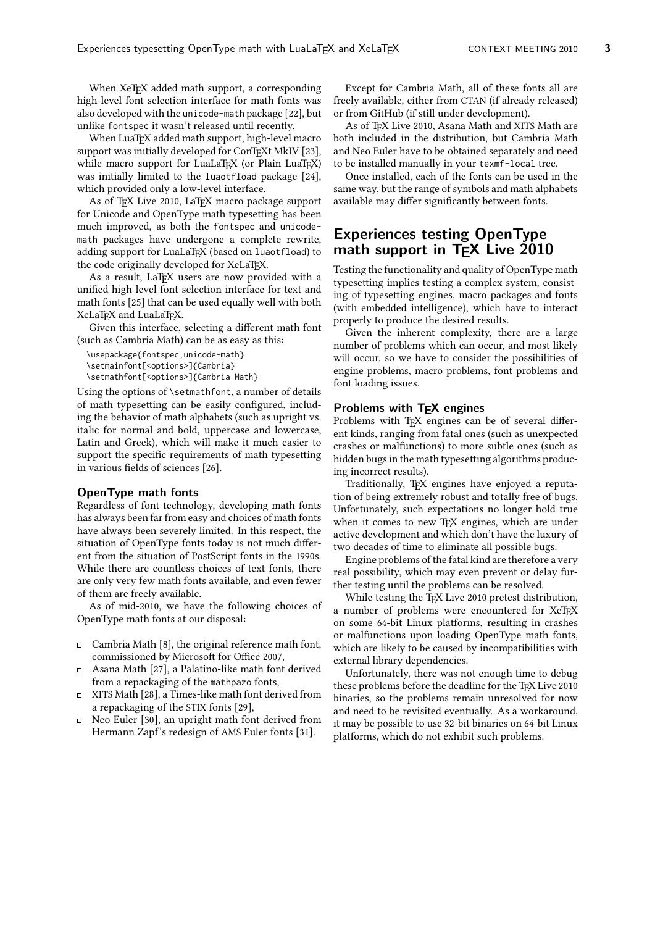When XeT<sub>F</sub>X added math support, a corresponding high-level font selection interface for math fonts was also developed with the unicode-math package [22], but unlike fontspec it wasn't released until recently.

When LuaT<sub>E</sub>X added math support, high-level macro support was initially developed for ConTEXt MkIV [23], while macro support for LuaLaT<sub>E</sub>X (or Plain LuaT<sub>EX</sub>) was initially limited to the luaotfload package [24], which provided only a low-level interface.

As of TFX Live 2010, LaTEX macro package support for Unicode and OpenType math typesetting has been much improved, as both the fontspec and unicodemath packages have undergone a complete rewrite, adding support for LuaLaT<sub>E</sub>X (based on luaotfload) to the code originally developed for XeLaTEX.

As a result, LaTFX users are now provided with a unified high-level font selection interface for text and math fonts [25] that can be used equally well with both XeLaT<sub>E</sub>X and LuaLaT<sub>E</sub>X.

Given this interface, selecting a different math font (such as Cambria Math) can be as easy as this:

```
\usepackage{fontspec,unicode-math}
\setmainfont[<options>]{Cambria}
\setmathfont[<options>]{Cambria Math}
```
Using the options of \setmathfont, a number of details of math typesetting can be easily configured, including the behavior of math alphabets (such as upright vs. italic for normal and bold, uppercase and lowercase, Latin and Greek), which will make it much easier to support the specific requirements of math typesetting in various fields of sciences [26].

#### **OpenType math fonts**

Regardless of font technology, developing math fonts has always been far from easy and choices of math fonts have always been severely limited. In this respect, the situation of OpenType fonts today is not much different from the situation of PostScript fonts in the 1990s. While there are countless choices of text fonts, there are only very few math fonts available, and even fewer of them are freely available.

As of mid-2010, we have the following choices of OpenType math fonts at our disposal:

- $\Box$  Cambria Math [8], the original reference math font, commissioned by Microsoft for Office 2007,
- $\Box$ Asana Math [27], a Palatino-like math font derived from a repackaging of the mathpazo fonts,
- XITS Math [28], a Times-like math font derived from a repackaging of the STIX fonts [29],
- Neo Euler [30], an upright math font derived from  $\Box$ Hermann Zapf's redesign of AMS Euler fonts [31].

Except for Cambria Math, all of these fonts all are freely available, either from CTAN (if already released) or from GitHub (if still under development).

As of TEX Live 2010, Asana Math and XITS Math are both included in the distribution, but Cambria Math and Neo Euler have to be obtained separately and need to be installed manually in your texmf-local tree.

Once installed, each of the fonts can be used in the same way, but the range of symbols and math alphabets available may differ significantly between fonts.

## **Experiences testing OpenType math support in TEX Live 2010**

Testing the functionality and quality of OpenType math typesetting implies testing a complex system, consisting of typesetting engines, macro packages and fonts (with embedded intelligence), which have to interact properly to produce the desired results.

Given the inherent complexity, there are a large number of problems which can occur, and most likely will occur, so we have to consider the possibilities of engine problems, macro problems, font problems and font loading issues.

#### **Problems with TEX engines**

Problems with TEX engines can be of several different kinds, ranging from fatal ones (such as unexpected crashes or malfunctions) to more subtle ones (such as hidden bugs in the math typesetting algorithms producing incorrect results).

Traditionally, TFX engines have enjoyed a reputation of being extremely robust and totally free of bugs. Unfortunately, such expectations no longer hold true when it comes to new TFX engines, which are under active development and which don't have the luxury of two decades of time to eliminate all possible bugs.

Engine problems of the fatal kind are therefore a very real possibility, which may even prevent or delay further testing until the problems can be resolved.

While testing the T<sub>E</sub>X Live 2010 pretest distribution, a number of problems were encountered for XeTFX on some 64-bit Linux platforms, resulting in crashes or malfunctions upon loading OpenType math fonts, which are likely to be caused by incompatibilities with external library dependencies.

Unfortunately, there was not enough time to debug these problems before the deadline for the TFX Live 2010 binaries, so the problems remain unresolved for now and need to be revisited eventually. As a workaround, it may be possible to use 32-bit binaries on 64-bit Linux platforms, which do not exhibit such problems.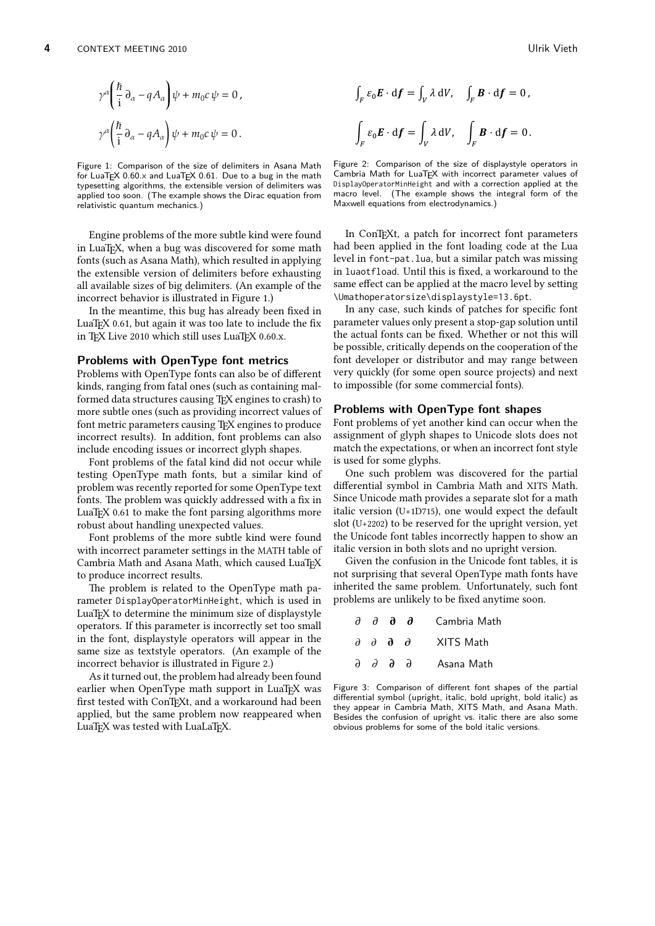$$
\gamma^{\alpha} \left( \frac{\hbar}{i} \partial_{\alpha} - q A_{\alpha} \right) \psi + m_0 c \psi = 0,
$$
  

$$
\gamma^{\alpha} \left( \frac{\hbar}{i} \partial_{\alpha} - q A_{\alpha} \right) \psi + m_0 c \psi = 0.
$$

Figure 1: Comparison of the size of delimiters in Asana Math for LuaTEX  $0.60 \times$  and LuaTEX 0.61. Due to a bug in the math typesetting algorithms, the extensible version of delimiters was applied too soon. (The example shows the Dirac equation from relativistic quantum mechanics.)

Engine problems of the more subtle kind were found in LuaT<sub>E</sub>X, when a bug was discovered for some math fonts (such as Asana Math), which resulted in applying the extensible version of delimiters before exhausting all available sizes of big delimiters. (An example of the incorrect behavior is illustrated in Figure 1.)

In the meantime, this bug has already been fixed in LuaT<sub>E</sub>X 0.61, but again it was too late to include the fix in TFX Live 2010 which still uses LuaTFX 0.60.x.

#### **Problems with OpenType font metrics**

Problems with OpenType fonts can also be of different kinds, ranging from fatal ones (such as containing malformed data structures causing TFX engines to crash) to more subtle ones (such as providing incorrect values of font metric parameters causing TEX engines to produce incorrect results). In addition, font problems can also include encoding issues or incorrect glyph shapes.

Font problems of the fatal kind did not occur while testing OpenType math fonts, but a similar kind of problem was recently reported for some OpenType text fonts. The problem was quickly addressed with a fix in LuaT<sub>EX</sub> 0.61 to make the font parsing algorithms more robust about handling unexpected values.

Font problems of the more subtle kind were found with incorrect parameter settings in the MATH table of Cambria Math and Asana Math, which caused LuaTEX to produce incorrect results.

The problem is related to the OpenType math parameter DisplayOperatorMinHeight, which is used in LuaT<sub>E</sub>X to determine the minimum size of displaystyle operators. If this parameter is incorrectly set too small in the font, displaystyle operators will appear in the same size as textstyle operators. (An example of the incorrect behavior is illustrated in Figure 2.)

As it turned out, the problem had already been found earlier when OpenType math support in LuaTEX was first tested with ConTEXt, and a workaround had been applied, but the same problem now reappeared when LuaT<sub>E</sub>X was tested with LuaLaT<sub>E</sub>X.

$$
\int_{F} \varepsilon_{0} \mathbf{E} \cdot d\mathbf{f} = \int_{V} \lambda dV, \quad \int_{F} \mathbf{B} \cdot d\mathbf{f} = 0,
$$
  

$$
\int_{F} \varepsilon_{0} \mathbf{E} \cdot d\mathbf{f} = \int_{V} \lambda dV, \quad \int_{F} \mathbf{B} \cdot d\mathbf{f} = 0.
$$



In ConTEXt, a patch for incorrect font parameters had been applied in the font loading code at the Lua level in font-pat.lua, but a similar patch was missing in luaotfload. Until this is fixed, a workaround to the same effect can be applied at the macro level by setting \Umathoperatorsize\displaystyle=13.6pt.

In any case, such kinds of patches for specific font parameter values only present a stop-gap solution until the actual fonts can be fixed. Whether or not this will be possible, critically depends on the cooperation of the font developer or distributor and may range between very quickly (for some open source projects) and next to impossible (for some commercial fonts).

#### **Problems with OpenType font shapes**

Font problems of yet another kind can occur when the assignment of glyph shapes to Unicode slots does not match the expectations, or when an incorrect font style is used for some glyphs.

One such problem was discovered for the partial differential symbol in Cambria Math and XITS Math. Since Unicode math provides a separate slot for a math italic version (U+1D715), one would expect the default slot (U+2202) to be reserved for the upright version, yet the Unicode font tables incorrectly happen to show an italic version in both slots and no upright version.

Given the confusion in the Unicode font tables, it is not surprising that several OpenType math fonts have inherited the same problem. Unfortunately, such font problems are unlikely to be fixed anytime soon.

|  | аа аа                                       | Cambria Math |
|--|---------------------------------------------|--------------|
|  | $\partial$ $\partial$ $\partial$ $\partial$ | XITS Math    |
|  | 9999                                        | Asana Math   |

Figure 3: Comparison of different font shapes of the partial differential symbol (upright, italic, bold upright, bold italic) as they appear in Cambria Math, XITS Math, and Asana Math. Besides the confusion of upright vs. italic there are also some obvious problems for some of the bold italic versions.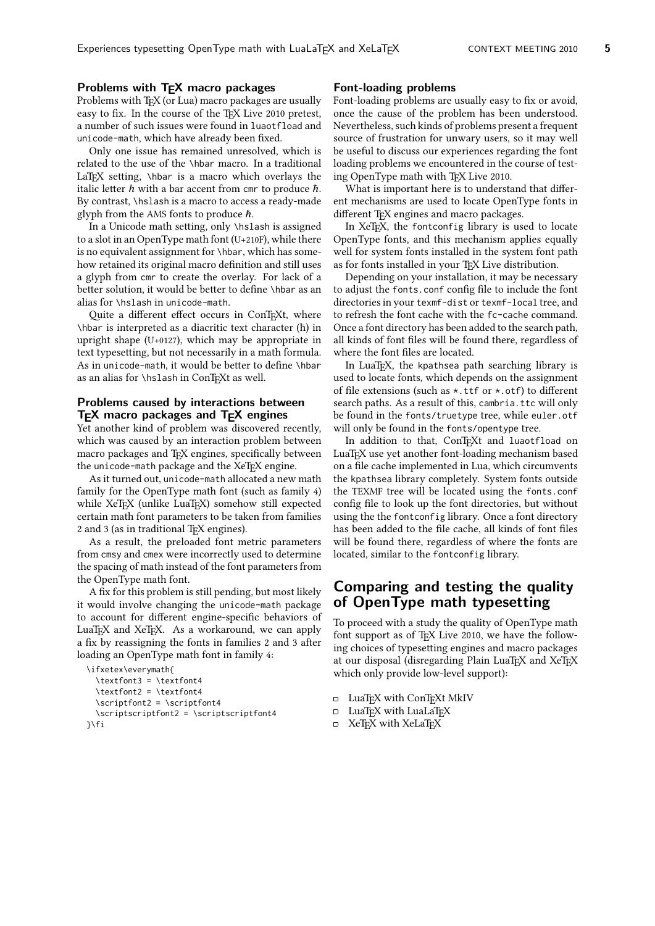## **Problems with TEX macro packages**

Problems with T<sub>E</sub>X (or Lua) macro packages are usually easy to fix. In the course of the TEX Live 2010 pretest, a number of such issues were found in luaotfload and unicode-math, which have already been fixed.

Only one issue has remained unresolved, which is related to the use of the \hbar macro. In a traditional LaT<sub>EX</sub> setting, \hbar is a macro which overlays the italic letter  $h$  with a bar accent from cmr to produce  $\hbar$ . By contrast, \hslash is a macro to access a ready-made glyph from the AMS fonts to produce  $\hbar$ .

In a Unicode math setting, only \hslash is assigned to a slot in an OpenType math font (U+210F), while there is no equivalent assignment for \hbar, which has somehow retained its original macro definition and still uses a glyph from cmr to create the overlay. For lack of a better solution, it would be better to define \hbar as an alias for \hslash in unicode-math.

Quite a different effect occurs in ConTEXt, where \hbar is interpreted as a diacritic text character (ħ) in upright shape (U+0127), which may be appropriate in text typesetting, but not necessarily in a math formula. As in unicode-math, it would be better to define \hbar as an alias for \hslash in ConTEXt as well.

#### **Problems caused by interactions between TEX macro packages and TEX engines**

Yet another kind of problem was discovered recently, which was caused by an interaction problem between macro packages and T<sub>F</sub>X engines, specifically between the unicode-math package and the XeT<sub>E</sub>X engine.

As it turned out, unicode-math allocated a new math family for the OpenType math font (such as family 4) while XeTEX (unlike LuaTEX) somehow still expected certain math font parameters to be taken from families 2 and 3 (as in traditional TFX engines).

As a result, the preloaded font metric parameters from cmsy and cmex were incorrectly used to determine the spacing of math instead of the font parameters from the OpenType math font.

A fix for this problem is still pending, but most likely it would involve changing the unicode-math package to account for different engine-specific behaviors of LuaTEX and XeTEX. As a workaround, we can apply a fix by reassigning the fonts in families 2 and 3 after loading an OpenType math font in family 4:

```
\ifxetex\everymath{
  \textfont3 = \textfont4
  \textfont2 = \textfont4
  \scriptfont2 = \scriptfont4
  \scriptscriptfont2 = \scriptscriptfont4
}\fi
```
#### **Font-loading problems**

Font-loading problems are usually easy to fix or avoid, once the cause of the problem has been understood. Nevertheless, such kinds of problems present a frequent source of frustration for unwary users, so it may well be useful to discuss our experiences regarding the font loading problems we encountered in the course of testing OpenType math with TFX Live 2010.

What is important here is to understand that different mechanisms are used to locate OpenType fonts in different TEX engines and macro packages.

In XeT<sub>F</sub>X, the fontconfig library is used to locate OpenType fonts, and this mechanism applies equally well for system fonts installed in the system font path as for fonts installed in your T<sub>E</sub>X Live distribution.

Depending on your installation, it may be necessary to adjust the fonts.conf config file to include the font directories in your texmf-dist or texmf-local tree, and to refresh the font cache with the fc-cache command. Once a font directory has been added to the search path, all kinds of font files will be found there, regardless of where the font files are located.

In LuaTEX, the kpathsea path searching library is used to locate fonts, which depends on the assignment of file extensions (such as \*.ttf or \*.otf) to different search paths. As a result of this, cambria.ttc will only be found in the fonts/truetype tree, while euler.otf will only be found in the fonts/opentype tree.

In addition to that, ConTEXt and luaotfload on LuaTEX use yet another font-loading mechanism based on a file cache implemented in Lua, which circumvents the kpathsea library completely. System fonts outside the TEXMF tree will be located using the fonts.conf config file to look up the font directories, but without using the the fontconfig library. Once a font directory has been added to the file cache, all kinds of font files will be found there, regardless of where the fonts are located, similar to the fontconfig library.

## **Comparing and testing the quality of OpenType math typesetting**

To proceed with a study the quality of OpenType math font support as of T<sub>F</sub>X Live 2010, we have the following choices of typesetting engines and macro packages at our disposal (disregarding Plain LuaTFX and XeTFX which only provide low-level support):

- □ LuaTEX with ConTEXt MkIV
- □ LuaTFX with LuaLaTFX
- $\Box$  XeT<sub>E</sub>X with XeLaT<sub>E</sub>X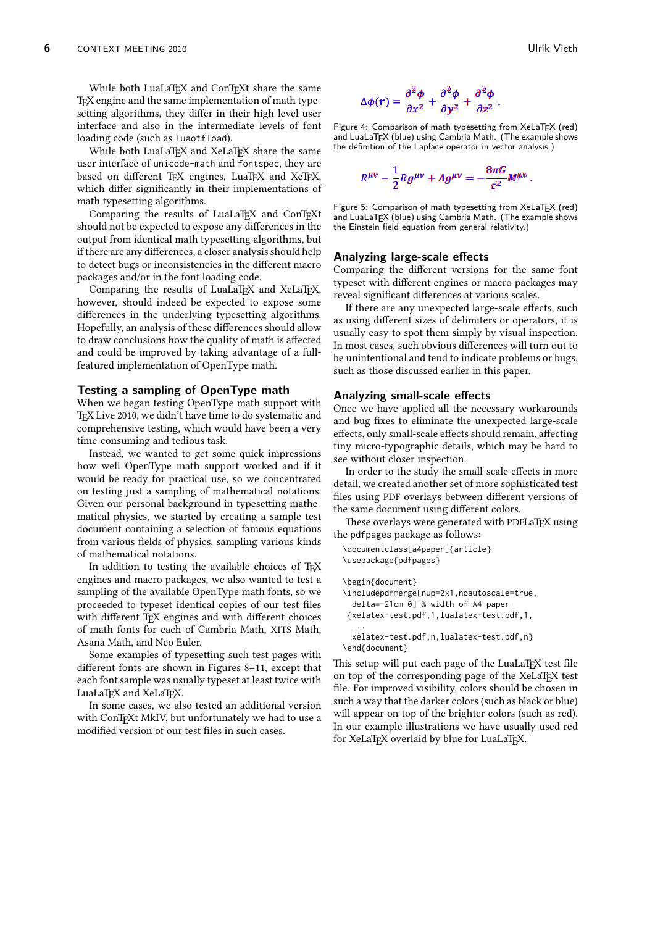While both LuaLaT<sub>E</sub>X and ConT<sub>E</sub>Xt share the same T<sub>E</sub>X engine and the same implementation of math typesetting algorithms, they differ in their high-level user interface and also in the intermediate levels of font loading code (such as luaotfload).

While both LuaLaTFX and XeLaTFX share the same user interface of unicode-math and fontspec, they are based on different TEX engines, LuaTEX and XeTEX, which differ significantly in their implementations of math typesetting algorithms.

Comparing the results of LuaLaTEX and ConTEXt should not be expected to expose any differences in the output from identical math typesetting algorithms, but if there are any differences, a closer analysis should help to detect bugs or inconsistencies in the different macro packages and/or in the font loading code.

Comparing the results of LuaLaT<sub>EX</sub> and XeLaT<sub>EX</sub>, however, should indeed be expected to expose some differences in the underlying typesetting algorithms. Hopefully, an analysis of these differences should allow to draw conclusions how the quality of math is affected and could be improved by taking advantage of a fullfeatured implementation of OpenType math.

#### **Testing a sampling of OpenType math**

When we began testing OpenType math support with T<sub>E</sub>X Live 2010, we didn't have time to do systematic and comprehensive testing, which would have been a very time-consuming and tedious task.

Instead, we wanted to get some quick impressions how well OpenType math support worked and if it would be ready for practical use, so we concentrated on testing just a sampling of mathematical notations. Given our personal background in typesetting mathematical physics, we started by creating a sample test document containing a selection of famous equations from various fields of physics, sampling various kinds of mathematical notations.

In addition to testing the available choices of TEX engines and macro packages, we also wanted to test a sampling of the available OpenType math fonts, so we proceeded to typeset identical copies of our test files with different TEX engines and with different choices of math fonts for each of Cambria Math, XITS Math, Asana Math, and Neo Euler.

Some examples of typesetting such test pages with different fonts are shown in Figures 8–11, except that each font sample was usually typeset at least twice with LuaLaT<sub>E</sub>X and XeLaT<sub>E</sub>X.

In some cases, we also tested an additional version with ConTEXt MkIV, but unfortunately we had to use a modified version of our test files in such cases.

$$
\Delta\phi(r)=\frac{\partial^{\frac{3}{2}}\phi}{\partial x^2}+\frac{\partial^{\frac{3}{2}}\phi}{\partial y^2}+\frac{\partial^{\frac{3}{2}}\phi}{\partial z^2}.
$$

the definition of the Laplace operator in vector analysis.)<br> Figure 4: Comparison of math typesetting from XeLaTEX (red) and LuaLaTEX (blue) using Cambria Math. (The example shows

$$
R^{\mu\nu}-\frac{1}{2}Rg^{\mu\nu}+A g^{\mu\nu}=-\frac{8\pi G}{c^2}M^{\mu\nu}.
$$

1 the Einstein field equation from general relativity.) Figure 5: Comparison of math typesetting from XeLaT<sub>E</sub>X (red)<br>and LuaLaT<sub>E</sub>X (blue) using Cambria Math. (The example shows<br>the Einstein field equation from general relativity.) and LuaLaTEX (blue) using Cambria Math. (The example shows

#### **Analyzing large-scale effects**

Comparing the different versions for the same font typeset with different engines or macro packages may reveal significant differences at various scales.

If there are any unexpected large-scale effects, such as using different sizes of delimiters or operators, it is usually easy to spot them simply by visual inspection. In most cases, such obvious differences will turn out to be unintentional and tend to indicate problems or bugs, such as those discussed earlier in this paper.

#### **Analyzing small-scale effects**

Once we have applied all the necessary workarounds and bug fixes to eliminate the unexpected large-scale effects, only small-scale effects should remain, affecting tiny micro-typographic details, which may be hard to see without closer inspection.

In order to the study the small-scale effects in more detail, we created another set of more sophisticated test files using PDF overlays between different versions of the same document using different colors.

These overlays were generated with PDFLaTFX using the pdfpages package as follows:

```
\documentclass[a4paper]{article}
\usepackage{pdfpages}
```
\begin{document} \includepdfmerge[nup=2x1,noautoscale=true, delta=-21cm 0] % width of A4 paper {xelatex-test.pdf,1,lualatex-test.pdf,1, ... xelatex-test.pdf,n,lualatex-test.pdf,n} \end{document}

This setup will put each page of the LuaLaT<sub>E</sub>X test file on top of the corresponding page of the XeLaTEX test file. For improved visibility, colors should be chosen in such a way that the darker colors (such as black or blue) will appear on top of the brighter colors (such as red). In our example illustrations we have usually used red for XeLaTEX overlaid by blue for LuaLaTEX.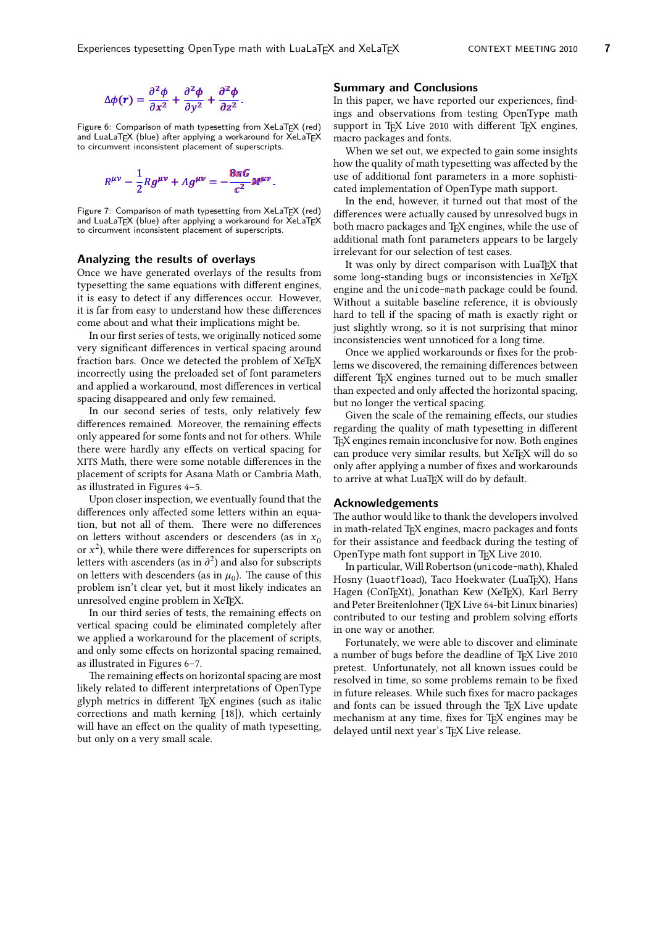$$
\Delta\phi(r)=\frac{\partial^2\phi}{\partial x^2}+\frac{\partial^2\phi}{\partial y^2}+\frac{\partial^2\phi}{\partial z^2}.
$$

1 to circumvent inconsistent placement of superscripts. Figure 6: Comparison of math typesetting from XeLaTEX (red)<br>and LuaLaTEX (blue) after applying a workaround for XeLaTEX<br>to circumvent inconsistent placement of superscripts. and LuaLaTEX (blue) after applying a workaround for XeLaTEX

$$
R^{\mu\nu}-\frac{1}{2}Rg^{\mu\nu}+A g^{\mu\nu}=-\frac{8\pi G}{c^2}M^{\mu\nu}.
$$

1 to circumvent inconsistent placement of superscripts. Figure 7: Comparison of math typesetting from XeLaT<sub>E</sub>X (red)<br>and LuaLaT<sub>E</sub>X (blue) after applying a workaround for XeLaT<sub>E</sub>X<br>to circumvent inconsistent placement of superscripts. and LuaLa $\mathsf{T}_{\mathsf{E}}\mathsf{X}$  (blue) after applying a workaround for XeLa $\mathsf{T}_{\mathsf{E}}\mathsf{X}$ 

#### **Analyzing the results of overlays**

Once we have generated overlays of the results from typesetting the same equations with different engines, it is easy to detect if any differences occur. However, it is far from easy to understand how these differences come about and what their implications might be.

In our first series of tests, we originally noticed some very significant differences in vertical spacing around fraction bars. Once we detected the problem of XeTFX incorrectly using the preloaded set of font parameters and applied a workaround, most differences in vertical spacing disappeared and only few remained.

In our second series of tests, only relatively few differences remained. Moreover, the remaining effects only appeared for some fonts and not for others. While there were hardly any effects on vertical spacing for XITS Math, there were some notable differences in the placement of scripts for Asana Math or Cambria Math, as illustrated in Figures 4–5.

Upon closer inspection, we eventually found that the differences only affected some letters within an equation, but not all of them. There were no differences on letters without ascenders or descenders (as in  $x_0$ ) or  $x^2$ ), while there were differences for superscripts on letters with ascenders (as in  $\partial^2$ ) and also for subscripts on letters with descenders (as in  $\mu_0$ ). The cause of this problem isn't clear yet, but it most likely indicates an unresolved engine problem in XeTFX.

In our third series of tests, the remaining effects on vertical spacing could be eliminated completely after we applied a workaround for the placement of scripts, and only some effects on horizontal spacing remained, as illustrated in Figures 6–7.

The remaining effects on horizontal spacing are most likely related to different interpretations of OpenType glyph metrics in different T<sub>E</sub>X engines (such as italic corrections and math kerning [18]), which certainly will have an effect on the quality of math typesetting, but only on a very small scale.

#### **Summary and Conclusions**

In this paper, we have reported our experiences, findings and observations from testing OpenType math support in TFX Live 2010 with different TFX engines, macro packages and fonts.

When we set out, we expected to gain some insights how the quality of math typesetting was affected by the use of additional font parameters in a more sophisticated implementation of OpenType math support.

In the end, however, it turned out that most of the differences were actually caused by unresolved bugs in both macro packages and T<sub>F</sub>X engines, while the use of additional math font parameters appears to be largely irrelevant for our selection of test cases.

It was only by direct comparison with LuaTEX that some long-standing bugs or inconsistencies in XeTEX engine and the unicode-math package could be found. Without a suitable baseline reference, it is obviously hard to tell if the spacing of math is exactly right or just slightly wrong, so it is not surprising that minor inconsistencies went unnoticed for a long time.

Once we applied workarounds or fixes for the problems we discovered, the remaining differences between different TEX engines turned out to be much smaller than expected and only affected the horizontal spacing, but no longer the vertical spacing.

Given the scale of the remaining effects, our studies regarding the quality of math typesetting in different TEX engines remain inconclusive for now. Both engines can produce very similar results, but XeTEX will do so only after applying a number of fixes and workarounds to arrive at what LuaT<sub>F</sub>X will do by default.

#### **Acknowledgements**

The author would like to thank the developers involved in math-related TFX engines, macro packages and fonts for their assistance and feedback during the testing of OpenType math font support in T<sub>E</sub>X Live 2010.

In particular, Will Robertson (unicode-math), Khaled Hosny (luaotfload), Taco Hoekwater (LuaTEX), Hans Hagen (ConTEXt), Jonathan Kew (XeTEX), Karl Berry and Peter Breitenlohner (TEX Live 64-bit Linux binaries) contributed to our testing and problem solving efforts in one way or another.

Fortunately, we were able to discover and eliminate a number of bugs before the deadline of TEX Live 2010 pretest. Unfortunately, not all known issues could be resolved in time, so some problems remain to be fixed in future releases. While such fixes for macro packages and fonts can be issued through the TFX Live update mechanism at any time, fixes for T<sub>F</sub>X engines may be delayed until next year's TFX Live release.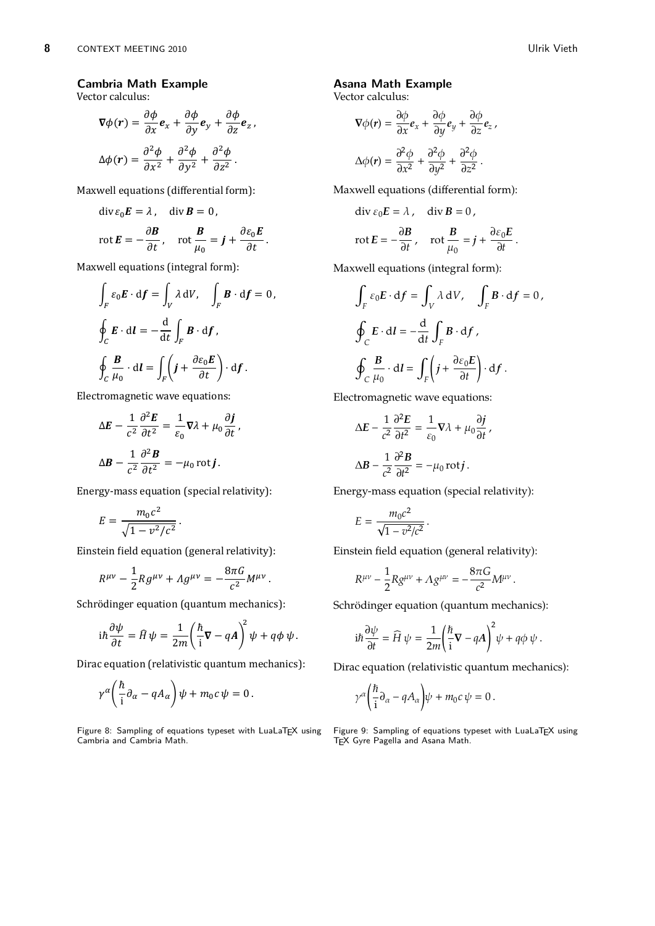,

# **Cambria Math Example**

Vector calculus:

$$
\nabla \phi(r) = \frac{\partial \phi}{\partial x} \mathbf{e}_x + \frac{\partial \phi}{\partial y} \mathbf{e}_y + \frac{\partial \phi}{\partial z} \mathbf{e}_z,
$$

$$
\Delta \phi(r) = \frac{\partial^2 \phi}{\partial x^2} + \frac{\partial^2 \phi}{\partial y^2} + \frac{\partial^2 \phi}{\partial z^2}.
$$

Maxwell equations (differential form):

$$
\operatorname{div} \varepsilon_0 \boldsymbol{E} = \lambda, \quad \operatorname{div} \boldsymbol{B} = 0,
$$

$$
\operatorname{rot} \boldsymbol{E} = -\frac{\partial \boldsymbol{B}}{\partial t}, \quad \operatorname{rot} \frac{\boldsymbol{B}}{\mu_0} = \boldsymbol{j} + \frac{\partial \varepsilon_0 \boldsymbol{E}}{\partial t}.
$$

Maxwell equations (integral form):

$$
\int_{F} \varepsilon_{0} \mathbf{E} \cdot d\mathbf{f} = \int_{V} \lambda dV, \quad \int_{F} \mathbf{B} \cdot d\mathbf{f} = 0,
$$
  

$$
\oint_{C} \mathbf{E} \cdot d\mathbf{l} = -\frac{d}{dt} \int_{F} \mathbf{B} \cdot d\mathbf{f},
$$
  

$$
\oint_{C} \frac{\mathbf{B}}{\mu_{0}} \cdot d\mathbf{l} = \int_{F} \left( \mathbf{j} + \frac{\partial \varepsilon_{0} \mathbf{E}}{\partial t} \right) \cdot d\mathbf{f}.
$$

Electromagnetic wave equations:

$$
\Delta E - \frac{1}{c^2} \frac{\partial^2 E}{\partial t^2} = \frac{1}{\varepsilon_0} \nabla \lambda + \mu_0 \frac{\partial \boldsymbol{j}}{\partial t},
$$

$$
\Delta \boldsymbol{B} - \frac{1}{c^2} \frac{\partial^2 \boldsymbol{B}}{\partial t^2} = -\mu_0 \operatorname{rot} \boldsymbol{j}.
$$

Energy-mass equation (special relativity):

$$
E = \frac{m_0 c^2}{\sqrt{1 - v^2/c^2}}.
$$

Einstein field equation (general relativity):

$$
R^{\mu\nu}-\frac{1}{2}Rg^{\mu\nu}+ \Lambda g^{\mu\nu}=-\frac{8\pi G}{c^2}M^{\mu\nu}
$$

Schrödinger equation (quantum mechanics):

$$
i\hbar \frac{\partial \psi}{\partial t} = \hat{H} \psi = \frac{1}{2m} \left( \frac{\hbar}{i} \nabla - qA \right)^2 \psi + q\phi \psi.
$$

.

Dirac equation (relativistic quantum mechanics):

$$
\gamma^{\alpha} \bigg( \frac{\hbar}{i} \partial_{\alpha} - q A_{\alpha} \bigg) \psi + m_0 c \psi = 0.
$$

Figure 8: Sampling of equations typeset with LuaLaTFX using Cambria and Cambria Math.

## **Asana Math Example**

Vector calculus:

$$
\nabla \phi(r) = \frac{\partial \phi}{\partial x} e_x + \frac{\partial \phi}{\partial y} e_y + \frac{\partial \phi}{\partial z} e_z
$$

$$
\Delta \phi(r) = \frac{\partial^2 \phi}{\partial x^2} + \frac{\partial^2 \phi}{\partial y^2} + \frac{\partial^2 \phi}{\partial z^2}.
$$

Maxwell equations (differential form):

$$
\operatorname{div} \varepsilon_0 E = \lambda, \quad \operatorname{div} B = 0,
$$
  

$$
\operatorname{rot} E = -\frac{\partial B}{\partial t}, \quad \operatorname{rot} \frac{B}{\mu_0} = j + \frac{\partial \varepsilon_0 E}{\partial t}.
$$

Maxwell equations (integral form):

$$
\int_{F} \varepsilon_{0} \mathbf{E} \cdot d\mathbf{f} = \int_{V} \lambda dV, \quad \int_{F} \mathbf{B} \cdot d\mathbf{f} = 0,
$$
  

$$
\oint_{C} \mathbf{E} \cdot d\mathbf{l} = -\frac{d}{dt} \int_{F} \mathbf{B} \cdot d\mathbf{f},
$$
  

$$
\oint_{C} \frac{\mathbf{B}}{\mu_{0}} \cdot d\mathbf{l} = \int_{F} \left( j + \frac{\partial \varepsilon_{0} \mathbf{E}}{\partial t} \right) \cdot d\mathbf{f}.
$$

Electromagnetic wave equations:

$$
\Delta E - \frac{1}{c^2} \frac{\partial^2 E}{\partial t^2} = \frac{1}{\varepsilon_0} \nabla \lambda + \mu_0 \frac{\partial j}{\partial t},
$$
  

$$
\Delta B - \frac{1}{c^2} \frac{\partial^2 B}{\partial t^2} = -\mu_0 \operatorname{rot} j.
$$

Energy-mass equation (special relativity):

$$
E = \frac{m_0 c^2}{\sqrt{1 - v^2/c^2}} \, .
$$

Einstein field equation (general relativity):

$$
R^{\mu\nu} - \frac{1}{2} R g^{\mu\nu} + \Lambda g^{\mu\nu} = - \frac{8 \pi G}{c^2} M^{\mu\nu}
$$

Schrödinger equation (quantum mechanics):

$$
i\hbar \frac{\partial \psi}{\partial t} = \widehat{H} \psi = \frac{1}{2m} \left( \frac{\hbar}{i} \nabla - qA \right)^2 \psi + q\phi \psi.
$$

.

Dirac equation (relativistic quantum mechanics):

$$
\gamma^{\alpha} \bigg( \frac{\hbar}{i} \partial_{\alpha} - q A_{\alpha} \bigg) \psi + m_0 c \psi = 0 \, .
$$

Figure 9: Sampling of equations typeset with LuaLaTFX using TEX Gyre Pagella and Asana Math.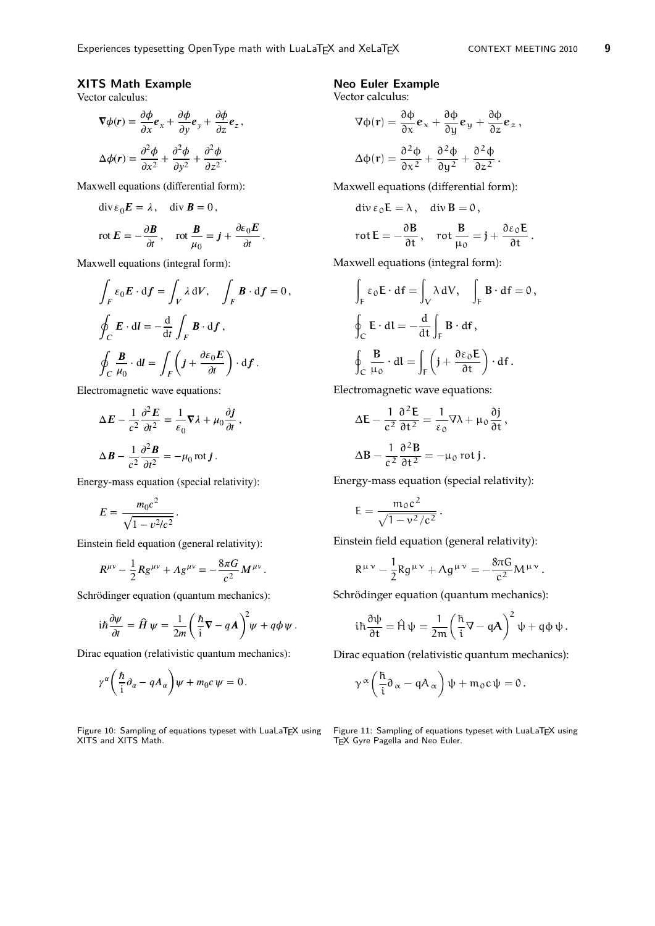∂ϕ

## **XITS Math Example**

Vector calculus:

$$
\nabla \phi(r) = \frac{\partial \phi}{\partial x} e_x + \frac{\partial \phi}{\partial y} e_y + \frac{\partial \phi}{\partial z} e_z,
$$
  

$$
\Delta \phi(r) = \frac{\partial^2 \phi}{\partial x^2} + \frac{\partial^2 \phi}{\partial y^2} + \frac{\partial^2 \phi}{\partial z^2}.
$$

Maxwell equations (differential form):

$$
\operatorname{div} \varepsilon_0 \boldsymbol{E} = \lambda, \quad \operatorname{div} \boldsymbol{B} = 0,
$$

$$
\operatorname{rot} E = -\frac{\partial \boldsymbol{B}}{\partial t}, \quad \operatorname{rot} \frac{\boldsymbol{B}}{\mu_0} = \boldsymbol{j} + \frac{\partial \varepsilon_0 E}{\partial t}.
$$

Maxwell equations (integral form):

$$
\int_{F} \varepsilon_{0} E \cdot d\mathbf{f} = \int_{V} \lambda dV, \quad \int_{F} \mathbf{B} \cdot d\mathbf{f} = 0,
$$
  

$$
\oint_{C} E \cdot d\mathbf{l} = -\frac{d}{dt} \int_{F} \mathbf{B} \cdot d\mathbf{f},
$$
  

$$
\oint_{C} \frac{\mathbf{B}}{\mu_{0}} \cdot d\mathbf{l} = \int_{F} \left( \mathbf{j} + \frac{\partial \varepsilon_{0} E}{\partial t} \right) \cdot d\mathbf{f}.
$$

,

.

Electromagnetic wave equations:

$$
\Delta E - \frac{1}{c^2} \frac{\partial^2 E}{\partial t^2} = \frac{1}{\epsilon_0} \nabla \lambda + \mu_0 \frac{\partial \mathbf{j}}{\partial t}
$$

$$
\Delta \mathbf{B} - \frac{1}{c^2} \frac{\partial^2 \mathbf{B}}{\partial t^2} = -\mu_0 \operatorname{rot} \mathbf{j} \, .
$$

Energy-mass equation (special relativity):

$$
E = \frac{m_0 c^2}{\sqrt{1 - v^2/c^2}}.
$$

Einstein field equation (general relativity):

$$
R^{\mu\nu} - \frac{1}{2} R g^{\mu\nu} + A g^{\mu\nu} = -\frac{8\pi G}{c^2} M^{\mu\nu}
$$

Schrödinger equation (quantum mechanics):

$$
i\hbar \frac{\partial \psi}{\partial t} = \hat{H} \psi = \frac{1}{2m} \left( \frac{\hbar}{i} \nabla - q \mathbf{A} \right)^2 \psi + q \phi \psi.
$$

Dirac equation (relativistic quantum mechanics):

$$
\gamma^{\alpha} \bigg( \frac{\hbar}{i} \partial_{\alpha} - q A_{\alpha} \bigg) \psi + m_0 c \psi = 0 \, .
$$

Figure 10: Sampling of equations typeset with LuaLaT<sub>E</sub>X using  $\;\;$  Figure 11: Sampling of equations typeset with LuaLaT<sub>E</sub>X using XITS and XITS Math.

#### **Neo Euler Example**

Vector calculus:

$$
\nabla \Phi(\mathbf{r}) = \frac{\partial \Phi}{\partial x} \mathbf{e}_x + \frac{\partial \Phi}{\partial y} \mathbf{e}_y + \frac{\partial \Phi}{\partial z} \mathbf{e}_z,
$$
  

$$
\Delta \Phi(\mathbf{r}) = \frac{\partial^2 \Phi}{\partial x^2} + \frac{\partial^2 \Phi}{\partial y^2} + \frac{\partial^2 \Phi}{\partial z^2}.
$$

Maxwell equations (differential form):

$$
\operatorname{div}\varepsilon_0\mathsf{E}=\lambda\,,\quad \operatorname{div}\mathsf{B}=0\,,
$$

$$
\text{rot}\,\mathsf{E}=-\frac{\partial\mathsf{B}}{\partial\mathsf{t}}\,,\quad\text{rot}\,\frac{\mathsf{B}}{\mu_0}=\mathsf{j}+\frac{\partial\boldsymbol{\varepsilon}_0\mathsf{E}}{\partial\mathsf{t}}\,.
$$

Maxwell equations (integral form):

$$
\int_{F} \epsilon_{0} \mathbf{E} \cdot d\mathbf{f} = \int_{V} \lambda dV, \quad \int_{F} \mathbf{B} \cdot d\mathbf{f} = 0,
$$
  

$$
\oint_{C} \mathbf{E} \cdot d\mathbf{l} = -\frac{d}{dt} \int_{F} \mathbf{B} \cdot d\mathbf{f},
$$
  

$$
\oint_{C} \frac{\mathbf{B}}{\mu_{0}} \cdot d\mathbf{l} = \int_{F} \left( \mathbf{j} + \frac{\partial \epsilon_{0} \mathbf{E}}{\partial t} \right) \cdot d\mathbf{f}.
$$

Electromagnetic wave equations:

$$
\Delta E - \frac{1}{c^2} \frac{\partial^2 E}{\partial t^2} = \frac{1}{\epsilon_0} \nabla \lambda + \mu_0 \frac{\partial j}{\partial t},
$$

$$
\Delta B - \frac{1}{c^2} \frac{\partial^2 B}{\partial t^2} = -\mu_0 \text{ rot } j.
$$

Energy-mass equation (special relativity):

$$
E=\frac{m_0c^2}{\sqrt{1-v^2/c^2}}.
$$

Einstein field equation (general relativity):

$$
R^{\mu\nu}-\frac{1}{2}Rg^{\mu\nu}+\Lambda g^{\mu\nu}=-\frac{8\pi G}{c^2}M^{\mu\nu}.
$$

Schrödinger equation (quantum mechanics):

$$
i\hbar\frac{\partial\psi}{\partial t} = \hat{H}\psi = \frac{1}{2m}\left(\frac{\hbar}{i}\nabla - q\mathbf{A}\right)^2\psi + q\varphi\psi.
$$

Dirac equation (relativistic quantum mechanics):

$$
\gamma^{\alpha}\left(\frac{\hbar}{i}\partial_{\alpha}-qA_{\alpha}\right)\psi+m_{0}c\,\psi=0.
$$

T<sub>E</sub>X Gyre Pagella and Neo Euler.